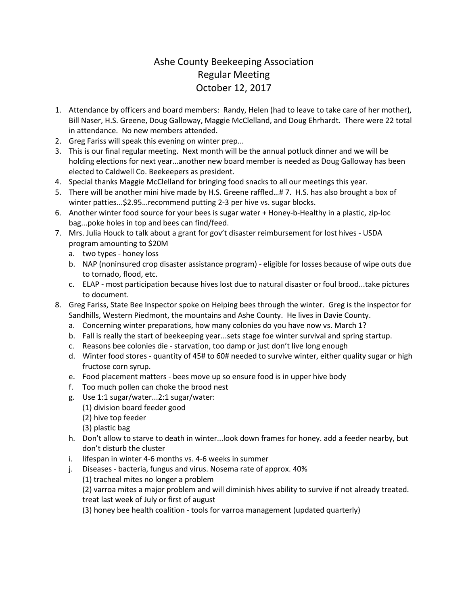## Ashe County Beekeeping Association Regular Meeting October 12, 2017

- 1. Attendance by officers and board members: Randy, Helen (had to leave to take care of her mother), Bill Naser, H.S. Greene, Doug Galloway, Maggie McClelland, and Doug Ehrhardt. There were 22 total in attendance. No new members attended.
- 2. Greg Fariss will speak this evening on winter prep...
- 3. This is our final regular meeting. Next month will be the annual potluck dinner and we will be holding elections for next year…another new board member is needed as Doug Galloway has been elected to Caldwell Co. Beekeepers as president.
- 4. Special thanks Maggie McClelland for bringing food snacks to all our meetings this year.
- 5. There will be another mini hive made by H.S. Greene raffled…# 7. H.S. has also brought a box of winter patties...\$2.95…recommend putting 2-3 per hive vs. sugar blocks.
- 6. Another winter food source for your bees is sugar water + Honey-b-Healthy in a plastic, zip-loc bag...poke holes in top and bees can find/feed.
- 7. Mrs. Julia Houck to talk about a grant for gov't disaster reimbursement for lost hives USDA program amounting to \$20M
	- a. two types honey loss
	- b. NAP (noninsured crop disaster assistance program) eligible for losses because of wipe outs due to tornado, flood, etc.
	- c. ELAP most participation because hives lost due to natural disaster or foul brood...take pictures to document.
- 8. Greg Fariss, State Bee Inspector spoke on Helping bees through the winter. Greg is the inspector for Sandhills, Western Piedmont, the mountains and Ashe County. He lives in Davie County.
	- a. Concerning winter preparations, how many colonies do you have now vs. March 1?
	- b. Fall is really the start of beekeeping year...sets stage foe winter survival and spring startup.
	- c. Reasons bee colonies die starvation, too damp or just don't live long enough
	- d. Winter food stores quantity of 45# to 60# needed to survive winter, either quality sugar or high fructose corn syrup.
	- e. Food placement matters bees move up so ensure food is in upper hive body
	- f. Too much pollen can choke the brood nest
	- g. Use 1:1 sugar/water...2:1 sugar/water:
		- (1) division board feeder good
		- (2) hive top feeder
		- (3) plastic bag
	- h. Don't allow to starve to death in winter...look down frames for honey. add a feeder nearby, but don't disturb the cluster
	- i. lifespan in winter 4-6 months vs. 4-6 weeks in summer
	- j. Diseases bacteria, fungus and virus. Nosema rate of approx. 40%
		- (1) tracheal mites no longer a problem
		- (2) varroa mites a major problem and will diminish hives ability to survive if not already treated. treat last week of July or first of august
		- (3) honey bee health coalition tools for varroa management (updated quarterly)